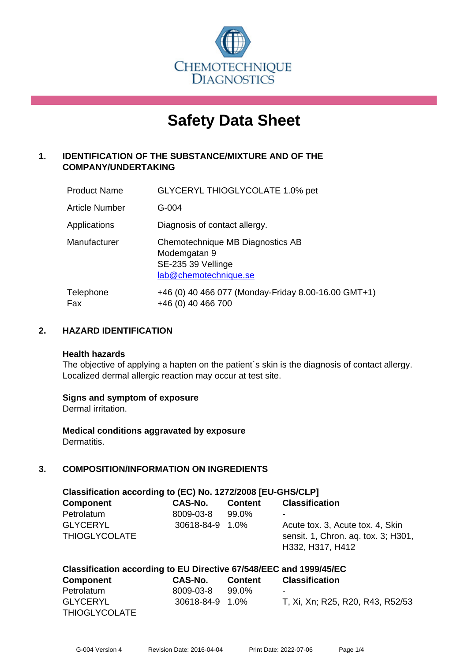

# **Safety Data Sheet**

# **1. IDENTIFICATION OF THE SUBSTANCE/MIXTURE AND OF THE COMPANY/UNDERTAKING**

| <b>Product Name</b> | GLYCERYL THIOGLYCOLATE 1.0% pet                                                                 |
|---------------------|-------------------------------------------------------------------------------------------------|
| Article Number      | G-004                                                                                           |
| Applications        | Diagnosis of contact allergy.                                                                   |
| Manufacturer        | Chemotechnique MB Diagnostics AB<br>Modemgatan 9<br>SE-235 39 Vellinge<br>lab@chemotechnique.se |
| Telephone<br>Fax    | +46 (0) 40 466 077 (Monday-Friday 8.00-16.00 GMT+1)<br>+46 (0) 40 466 700                       |

# **2. HAZARD IDENTIFICATION**

#### **Health hazards**

The objective of applying a hapten on the patient's skin is the diagnosis of contact allergy. Localized dermal allergic reaction may occur at test site.

#### **Signs and symptom of exposure**

Dermal irritation.

**Medical conditions aggravated by exposure** Dermatitis.

# **3. COMPOSITION/INFORMATION ON INGREDIENTS**

| Classification according to (EC) No. 1272/2008 [EU-GHS/CLP] |                 |                |                                     |  |
|-------------------------------------------------------------|-----------------|----------------|-------------------------------------|--|
| <b>Component</b>                                            | CAS-No.         | <b>Content</b> | <b>Classification</b>               |  |
| Petrolatum                                                  | 8009-03-8       | 99.0%          | -                                   |  |
| <b>GLYCERYL</b>                                             | 30618-84-9 1.0% |                | Acute tox. 3, Acute tox. 4, Skin    |  |
| <b>THIOGLYCOLATE</b>                                        |                 |                | sensit. 1, Chron. aq. tox. 3; H301, |  |
|                                                             |                 |                | H332, H317, H412                    |  |

| Classification according to EU Directive 67/548/EEC and 1999/45/EC |                 |                |                                  |  |
|--------------------------------------------------------------------|-----------------|----------------|----------------------------------|--|
| Component                                                          | CAS-No.         | <b>Content</b> | <b>Classification</b>            |  |
| Petrolatum                                                         | 8009-03-8       | 99.0%          | -                                |  |
| <b>GLYCERYL</b>                                                    | 30618-84-9 1.0% |                | T, Xi, Xn; R25, R20, R43, R52/53 |  |
| <b>THIOGLYCOLATE</b>                                               |                 |                |                                  |  |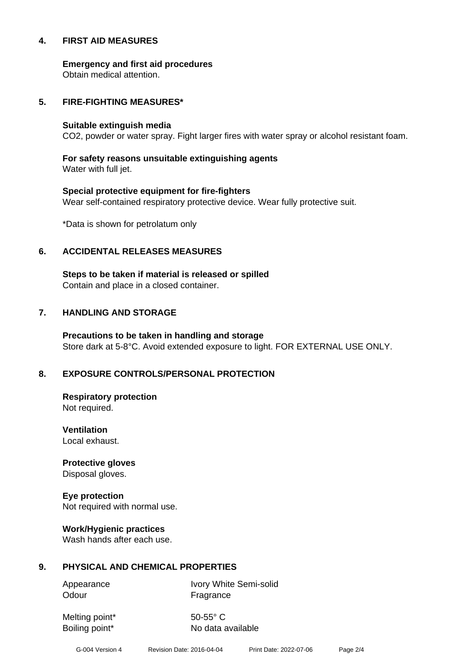#### **4. FIRST AID MEASURES**

**Emergency and first aid procedures**

Obtain medical attention.

#### **5. FIRE-FIGHTING MEASURES\***

#### **Suitable extinguish media**

CO2, powder or water spray. Fight larger fires with water spray or alcohol resistant foam.

# **For safety reasons unsuitable extinguishing agents**

Water with full jet.

# **Special protective equipment for fire-fighters** Wear self-contained respiratory protective device. Wear fully protective suit.

\*Data is shown for petrolatum only

# **6. ACCIDENTAL RELEASES MEASURES**

**Steps to be taken if material is released or spilled** Contain and place in a closed container.

# **7. HANDLING AND STORAGE**

**Precautions to be taken in handling and storage** Store dark at 5-8°C. Avoid extended exposure to light. FOR EXTERNAL USE ONLY.

# **8. EXPOSURE CONTROLS/PERSONAL PROTECTION**

**Respiratory protection** Not required.

**Ventilation** Local exhaust.

**Protective gloves** Disposal gloves.

# **Eye protection**

Not required with normal use.

#### **Work/Hygienic practices**

Wash hands after each use.

#### **9. PHYSICAL AND CHEMICAL PROPERTIES**

Odour **Fragrance** 

Appearance Ivory White Semi-solid

Melting point\* 50-55° C

Boiling point\* No data available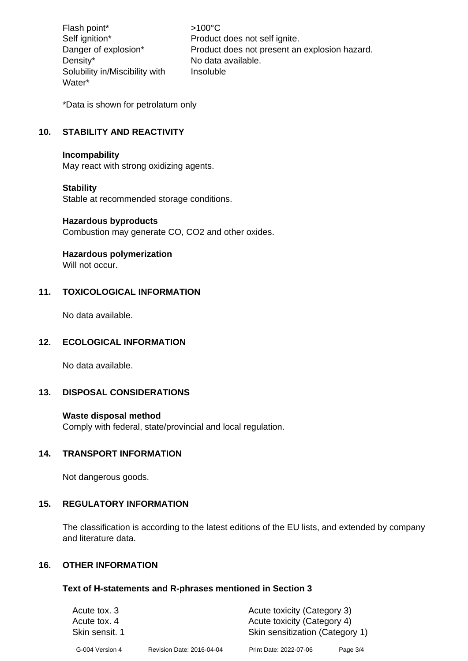Flash point\*  $>100^{\circ}$ C Density\* No data available. Solubility in/Miscibility with Water\*

Self ignition\* Product does not self ignite. Danger of explosion\* Product does not present an explosion hazard. Insoluble

\*Data is shown for petrolatum only

# **10. STABILITY AND REACTIVITY**

#### **Incompability**

May react with strong oxidizing agents.

#### **Stability**

Stable at recommended storage conditions.

#### **Hazardous byproducts**

Combustion may generate CO, CO2 and other oxides.

#### **Hazardous polymerization**

Will not occur.

# **11. TOXICOLOGICAL INFORMATION**

No data available.

#### **12. ECOLOGICAL INFORMATION**

No data available.

#### **13. DISPOSAL CONSIDERATIONS**

#### **Waste disposal method**

Comply with federal, state/provincial and local regulation.

#### **14. TRANSPORT INFORMATION**

Not dangerous goods.

#### **15. REGULATORY INFORMATION**

The classification is according to the latest editions of the EU lists, and extended by company and literature data.

# **16. OTHER INFORMATION**

#### **Text of H-statements and R-phrases mentioned in Section 3**

| Acute tox. 3                   |                           | Acute toxicity (Category 3)                                    |          |
|--------------------------------|---------------------------|----------------------------------------------------------------|----------|
| Acute tox. 4<br>Skin sensit, 1 |                           | Acute toxicity (Category 4)<br>Skin sensitization (Category 1) |          |
| G-004 Version 4                | Revision Date: 2016-04-04 | Print Date: 2022-07-06                                         | Page 3/4 |